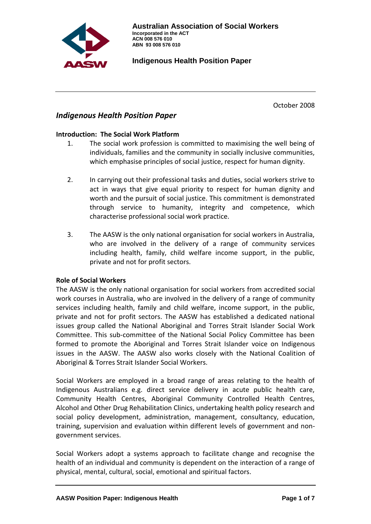

October 2008

# *Indigenous Health Position Paper*

### **Introduction: The Social Work Platform**

- 1. The social work profession is committed to maximising the well being of individuals, families and the community in socially inclusive communities, which emphasise principles of social justice, respect for human dignity.
- 2. In carrying out their professional tasks and duties, social workers strive to act in ways that give equal priority to respect for human dignity and worth and the pursuit of social justice. This commitment is demonstrated through service to humanity, integrity and competence, which characterise professional social work practice.
- 3. The AASW is the only national organisation for social workers in Australia, who are involved in the delivery of a range of community services including health, family, child welfare income support, in the public, private and not for profit sectors.

# **Role of Social Workers**

The AASW is the only national organisation for social workers from accredited social work courses in Australia, who are involved in the delivery of a range of community services including health, family and child welfare, income support, in the public, private and not for profit sectors. The AASW has established a dedicated national issues group called the National Aboriginal and Torres Strait Islander Social Work Committee. This sub-committee of the National Social Policy Committee has been formed to promote the Aboriginal and Torres Strait Islander voice on Indigenous issues in the AASW. The AASW also works closely with the National Coalition of Aboriginal & Torres Strait Islander Social Workers.

Social Workers are employed in a broad range of areas relating to the health of Indigenous Australians e.g. direct service delivery in acute public health care, Community Health Centres, Aboriginal Community Controlled Health Centres, Alcohol and Other Drug Rehabilitation Clinics, undertaking health policy research and social policy development, administration, management, consultancy, education, training, supervision and evaluation within different levels of government and nongovernment services.

Social Workers adopt a systems approach to facilitate change and recognise the health of an individual and community is dependent on the interaction of a range of physical, mental, cultural, social, emotional and spiritual factors.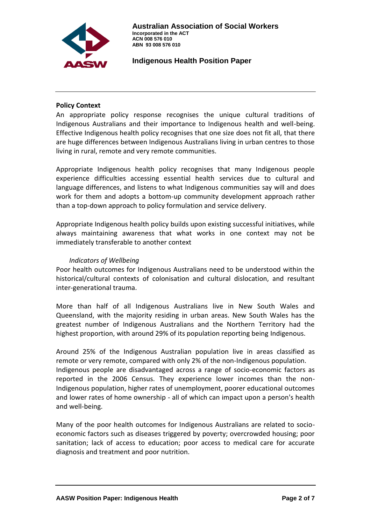

#### **Policy Context**

An appropriate policy response recognises the unique cultural traditions of Indigenous Australians and their importance to Indigenous health and well-being. Effective Indigenous health policy recognises that one size does not fit all, that there are huge differences between Indigenous Australians living in urban centres to those living in rural, remote and very remote communities.

Appropriate Indigenous health policy recognises that many Indigenous people experience difficulties accessing essential health services due to cultural and language differences, and listens to what Indigenous communities say will and does work for them and adopts a bottom-up community development approach rather than a top-down approach to policy formulation and service delivery.

Appropriate Indigenous health policy builds upon existing successful initiatives, while always maintaining awareness that what works in one context may not be immediately transferable to another context

#### *Indicators of Wellbeing*

Poor health outcomes for Indigenous Australians need to be understood within the historical/cultural contexts of colonisation and cultural dislocation, and resultant inter-generational trauma.

More than half of all Indigenous Australians live in New South Wales and Queensland, with the majority residing in urban areas. New South Wales has the greatest number of Indigenous Australians and the Northern Territory had the highest proportion, with around 29% of its population reporting being Indigenous.

Around 25% of the Indigenous Australian population live in areas classified as remote or very remote, compared with only 2% of the non-Indigenous population. Indigenous people are disadvantaged across a range of socio-economic factors as reported in the 2006 Census. They experience lower incomes than the non-Indigenous population, higher rates of unemployment, poorer educational outcomes and lower rates of home ownership - all of which can impact upon a person's health and well-being.

Many of the poor health outcomes for Indigenous Australians are related to socioeconomic factors such as diseases triggered by poverty; overcrowded housing; poor sanitation; lack of access to education; poor access to medical care for accurate diagnosis and treatment and poor nutrition.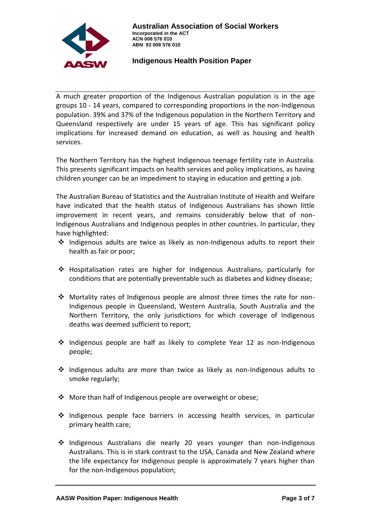

A much greater proportion of the Indigenous Australian population is in the age groups 10 - 14 years, compared to corresponding proportions in the non-Indigenous population. 39% and 37% of the Indigenous population in the Northern Territory and Queensland respectively are under 15 years of age. This has significant policy implications for increased demand on education, as well as housing and health services.

The Northern Territory has the highest Indigenous teenage fertility rate in Australia. This presents significant impacts on health services and policy implications, as having children younger can be an impediment to staying in education and getting a job.

The Australian Bureau of Statistics and the Australian Institute of Health and Welfare have indicated that the health status of Indigenous Australians has shown little improvement in recent years, and remains considerably below that of non-Indigenous Australians and Indigenous peoples in other countries. In particular, they have highlighted:

- $\cdot \cdot$  Indigenous adults are twice as likely as non-Indigenous adults to report their health as fair or poor;
- Hospitalisation rates are higher for Indigenous Australians, particularly for conditions that are potentially preventable such as diabetes and kidney disease;
- Mortality rates of Indigenous people are almost three times the rate for non-Indigenous people in Queensland, Western Australia, South Australia and the Northern Territory, the only jurisdictions for which coverage of Indigenous deaths was deemed sufficient to report;
- $\div$  Indigenous people are half as likely to complete Year 12 as non-Indigenous people;
- $\cdot \cdot$  Indigenous adults are more than twice as likely as non-Indigenous adults to smoke regularly;
- ◆ More than half of Indigenous people are overweight or obese;
- \* Indigenous people face barriers in accessing health services, in particular primary health care;
- Indigenous Australians die nearly 20 years younger than non-Indigenous Australians. This is in stark contrast to the USA, Canada and New Zealand where the life expectancy for Indigenous people is approximately 7 years higher than for the non-Indigenous population;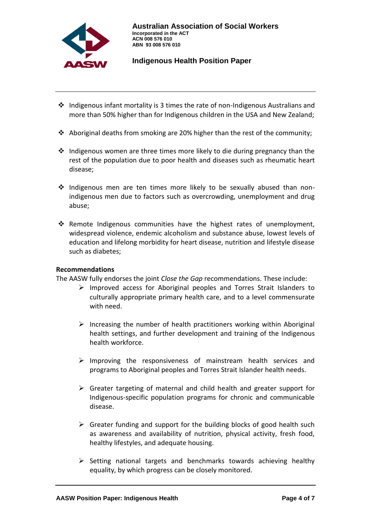

- $\cdot$  Indigenous infant mortality is 3 times the rate of non-Indigenous Australians and more than 50% higher than for Indigenous children in the USA and New Zealand;
- Aboriginal deaths from smoking are 20% higher than the rest of the community;
- $\cdot$  Indigenous women are three times more likely to die during pregnancy than the rest of the population due to poor health and diseases such as rheumatic heart disease;
- $\div$  Indigenous men are ten times more likely to be sexually abused than nonindigenous men due to factors such as overcrowding, unemployment and drug abuse;
- \* Remote Indigenous communities have the highest rates of unemployment, widespread violence, endemic alcoholism and substance abuse, lowest levels of education and lifelong morbidity for heart disease, nutrition and lifestyle disease such as diabetes;

#### **Recommendations**

The AASW fully endorses the joint *Close the Gap* recommendations. These include:

- $\triangleright$  Improved access for Aboriginal peoples and Torres Strait Islanders to culturally appropriate primary health care, and to a level commensurate with need.
- $\triangleright$  Increasing the number of health practitioners working within Aboriginal health settings, and further development and training of the Indigenous health workforce.
- $\triangleright$  Improving the responsiveness of mainstream health services and programs to Aboriginal peoples and Torres Strait Islander health needs.
- $\triangleright$  Greater targeting of maternal and child health and greater support for Indigenous-specific population programs for chronic and communicable disease.
- $\triangleright$  Greater funding and support for the building blocks of good health such as awareness and availability of nutrition, physical activity, fresh food, healthy lifestyles, and adequate housing.
- $\triangleright$  Setting national targets and benchmarks towards achieving healthy equality, by which progress can be closely monitored.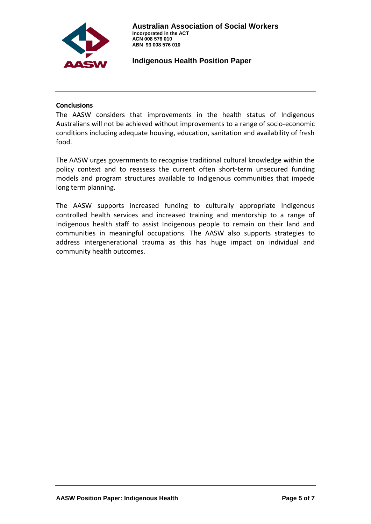

### **Conclusions**

The AASW considers that improvements in the health status of Indigenous Australians will not be achieved without improvements to a range of socio-economic conditions including adequate housing, education, sanitation and availability of fresh food.

The AASW urges governments to recognise traditional cultural knowledge within the policy context and to reassess the current often short-term unsecured funding models and program structures available to Indigenous communities that impede long term planning.

The AASW supports increased funding to culturally appropriate Indigenous controlled health services and increased training and mentorship to a range of Indigenous health staff to assist Indigenous people to remain on their land and communities in meaningful occupations. The AASW also supports strategies to address intergenerational trauma as this has huge impact on individual and community health outcomes.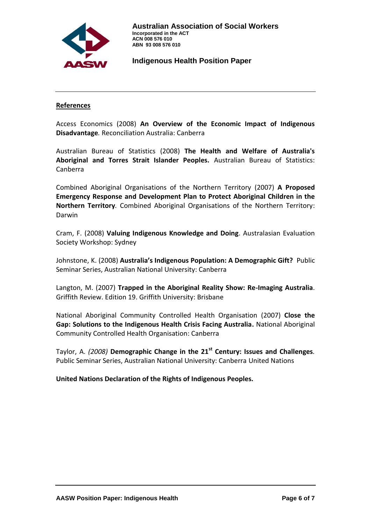

#### **References**

Access Economics (2008) **An Overview of the Economic Impact of Indigenous Disadvantage***.* Reconciliation Australia: Canberra

Australian Bureau of Statistics (2008) **The Health and Welfare of Australia's Aboriginal and Torres Strait Islander Peoples.** Australian Bureau of Statistics: Canberra

Combined Aboriginal Organisations of the Northern Territory (2007) **A Proposed Emergency Response and Development Plan to Protect Aboriginal Children in the Northern Territory***.* Combined Aboriginal Organisations of the Northern Territory: Darwin

Cram, F. (2008) **Valuing Indigenous Knowledge and Doing**. Australasian Evaluation Society Workshop: Sydney

Johnstone, K. (2008) **Australia's Indigenous Population: A Demographic Gift?** Public Seminar Series, Australian National University: Canberra

Langton, M. (2007) **Trapped in the Aboriginal Reality Show: Re-Imaging Australia**. Griffith Review. Edition 19. Griffith University: Brisbane

National Aboriginal Community Controlled Health Organisation (2007) **Close the Gap: Solutions to the Indigenous Health Crisis Facing Australia.** National Aboriginal Community Controlled Health Organisation: Canberra

Taylor, A. *(2008)* **Demographic Change in the 21st Century: Issues and Challenges***.* Public Seminar Series, Australian National University: Canberra United Nations

**United Nations Declaration of the Rights of Indigenous Peoples.**